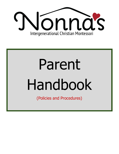

# Parent Handbook

(Policies and Procedures)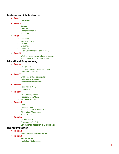#### **Business and Administrative**

- ➢ **Page 2**
	- Admissions

#### ➢ **Page 3**

- Calendar
- Financial
- Change in Schedule
- Round-Up

#### ➢ **Page 4**

- **○** Departure
- Licensing Policies
- Security
- Grievance
- Insurance
- Public use of Childrens photos policy
- ➢ **Page 5**
	- **○** Weather-related closing criteria at Nonna's
	- Staff, Faculty, and Volunteer Policies

#### **Educational Programming**

- ➢ **Page 6**
	- Program Plan
	- Educational Method & Religious Basis
	- Arrival and Departure

#### ➢ **Page 7**

- Child/Teacher Connection policy
- Maltreatment Reporting
- Behavior Redirection Policy

#### ➢ **Page 8**

- Peacemaking Policy
- Food Policy

#### ➢ **Page 9**

- **○** Hand Washing Policies
- Restrooms at NONNA'S
- Nap & Rest Policies

#### ➢ **Page 10**

- **○** Recess
- Field Trip Policy
- Reporting Absences and Tardiness
- Observations/Conferences
- Special Needs

#### $\triangleright$  **Page 11**

- Preliminary Visit
- Environments Pet Policy
- o Educational Research & Experiments

#### **Health and Safety**

- ➢ **Page 12**
	- Health, Safety & Wellness Policies
- ➢ **Page 13**
	- First Aid Policies
	- Medication Administration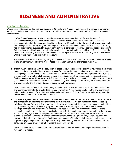# **BUSINESS AND ADMINISTRATIVE**

# Admission Policies

We are licensed to serve children between the ages of 12 weeks and 9 years of age. Our early childhood programming serves children between 12 weeks and 33 months. We call this part of our programming the "Nido", which is Italian for the word nest.

**1. Infant "Tree" Program:** A Nido is carefully prepared with materials designed for specific areas of development: visual, tactile, auditory and motor. The infant explores these areas through the senses and experiences offered at the opportune time. During these first 12 months of life, the infant will acquire many skills from rolling over to cruising along the furnishings and materials designed to support these acquisitions. A caring, healthy attachment is supported by the adult through the experiences of feeding, diapering, sleeping and waking. In the Nido an infant is observed to determine which need is present and then quickly met. This approach assists the infant in developing a basic trust that the world is a safe place and has what I need to grow and be satisfied. What a special message to receive from the start!

This environment serves children beginning at 12 weeks until the age of 12 months or advent of walking. Staffing in this environment will reflect the higher needs of the infant and will typically meet a ratio of 1:3.

**2. Infant "Sun" Program:** With the acquisition of speedily crawling and walking the infant now needs more space to practice these new skills. The environment is carefully designed to support all areas of emerging development: pushing wagons and climbing on the stair and ramp assists in the infant's balance and equilibrium; music, books and conversations with the adult encourages the infant to begin identifying objects and experiences that are familiar; outdoor stoller rides expose the infant to the elements available only in nature; learning to sleep on a cot gives freedom to prepare for sleep and wake independently, self-feeding and undressing for diapering meet the growing desire for the child to participate in taking care of themselves.

Once an infant meets the milestone of walking or celebrates their first birthday, they will transition to the "Sun" environment adjacent to the area for feeding, shared with their "Tree" friends. Staffing in this environment will reflect the higher needs of the infant and will typically meet a ratio of 1:3. Infants will typically transition to the toddler environment between 16 and 18 months.

**3. Toddler Program:** Toddlers are driven to explore their world in order to use it independently. With acceptance and consistency, gradually the toddler begins to meet their own needs for communication, feeding, sleeping, toileting and caring for the physical environment. Areas meant to support development are prepared so that the young toddler may participate in everyday life. Through the materials of practical life the toddler develops language, gross and fine motor skills, confidence and a deep sense of being a contributing member of the community. Learning to use the toilet is a critical milestone for the toddler and must be supported by both school and home. Language objects and experiences through music, art and literature support the explosion of expressive language. Toddlers are offered opportunities for running, using riding toys, obstacle courses, and much more in both our multi-purpose "Pond Room" and outdoors. The phrase that encapsulates this magical time of physical, psychological and spiritual growth is "Help me to do it by myself!" Each of these environments are considered an annual program from September 1 through August 31.

Children can enter this environment at 16 months and remain until 33 months. Staffing in this environment is a minimum of 1:7 ratio.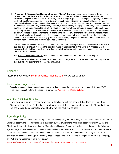**4. Preschool & Kindergarten (Casa de Bambini - "Casa") Program:** Casa means "house" in Italian. This perfectly describes this space that is designed like a small house for children who are encouraged to be resourceful, respectful and responsible. Children, ages 3 through 6, preschool through kindergarten, are invited to work with the Montessori curriculum in a Christian context. Trained teachers give beautiful lessons on a daily basis to help children grow in independence and abilities. The indoor environment has distinct areas of learning: Mathematics, Language Arts, Practical Life, Sensorial, Science, History, Geography, Fine Arts, Faith. Mornings in the Casa involve an uninterrupted work time where children move freely from one presentation to another. At noon, they will eat lunch where grace and manners are emphasized. Then, they will have a quiet siesta where stories will be read to them. Afternoons are spent in the outdoor environment or our indoor play space. Older children will receive enrichment lessons in language and mathematics learning extensions of the kinesthetic materials. This enables the child to enjoy and explore the world, completely understand various operations which result in math and language concepts being easily attainable.

Children must be between the ages of 33 months and 69 months on September 1 of the school year for which the child plans to attend, following the guideline range of ages dictated by the State of Minnesota. It is a **prerequisite** that children must also be using the **toilet independently**, able to communicate coherently and to follow simple directions.

The Half-day Preschool Programs meet on Mondays through Fridays from 8:00 a.m. to 12:00 p.m.

Staffing in the preschool is a minimum of 1:10 ratio and kindergarten a 1:15 staff ratio. Summer programs are also available for the months of June, July and August.

#### Calendar

Please see our website [Forms & Policies | Nonnas ICM](https://www.nonnas.net/forms-policies) to view our Calendar.

#### Financial Arrangements

Financial arrangements are agreed upon prior to the beginning of the program and billed monthly through TADS tuition management system. See specific program fees Nonna's Fees Discounts Policy

#### Change in Schedule Policy

If you desire a change in schedule, we require families to first contact our Office Director. Our Office Director will consult the Center director and team to see if the change would be feasible. The earliest that this change can be implemented would be the families next invoice date.

#### Round-up Policy

In preparation for a child's "Rounding-up" from their existing program to the next, Nonna's Campus Director and future Guide will observe the child for readiness in the child's current environment. After these observations both Guides and Directors collaborate to determine when the "Round-up" will occur. "Round-ups" typically occur based on the following age and stage of development: Nido Infant to Nido Toddler, 16-18 months; Nido Toddler to Casa at 33-36 months. Once staff have determined the "Round-up" week, the family will receive a packet of information to help you plan for the transition. As children "Round-up" the monthly rates decrease. The TADS Financial Manager will initiate this accordingly on TADS and will present a form for you to sign.

Please see "Nonna's Round-up Process" for more information → Nonna's [Round-Up](https://docs.google.com/document/d/1_TKzFtTr0CvnGGuFCX_XsT9BagvGzUWSd3vt26OKmCs/edit?usp=sharing) Process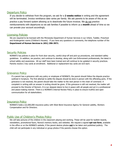#### Departure Policy

If you decide to withdraw from the program, we ask for a **2 weeks notice** in writing and the agreement will be terminated. Invoice remittance date varies per family. We ask parents to be aware of this as we practice a pay forward system allowing us to deactivate the future invoices. We do not practice reimbursements with departures so we ask families if possible to inform us a **month** ahead of time so we can prorate your account accordingly.

#### Licensing Policies

We are required to be licensed with the Minnesota Department of Human Services in our Infant, Toddler, Preschool and Kindergarten rooms (Children's Houses). If you have any questions or comments, the telephone number of the **Department of Human Services is** (**651) 296-3971**.

#### Security Policies

NONNA'S has policies in place for front door security, careful drop-off and pick-up procedures, and standard safety guidelines. In addition, we practice, and continue to develop, along with Law Enforcement professionals, the latest in school safety and awareness. All our staff have been trained and will continue to be updated in security practices. Parents receive 2 key cards at enrollment. Additional or replacement key cards are \$10 each.

# Grievance Policy

If a parent has a grievance with any policy or employee of NONNA'S, the parent should follow the dispute practice outlined in Scripture. The first attempt to settle the dispute should be done in person with the offending party. If the grievance is not resolved, the parent should take the matter to the next person in the chain of command. A complaint in writing with an answer in writing should be given. If the grievance is still not resolved, the matter will proceed to the Director of Nonna's. It is our deepest desire to live in peace with all people and act in a professional and peace-making manner. There is a NONNA'S Internal Review Policy in place to ensure truthful and open communication for all stakeholders.

# Insurance Policy

NONNA'S holds a \$2,000,000 insurance policy with West Bend Insurance Agency for General Liability, Workers Compensation and for Directors.

# Public Use of Children's Photos Policy

We will take pictures of the children in the classroom playing and working. These will be used for bulletin boards, newsletters, promotional flyers, Nonna's memory books, and websites. We request a signed **opt-out form**, available in the office or on the NONNA'S website, if the parent desires photos **not** to be taken and published publicly. The child will not participate in any individual or group photos if the parents choose this option.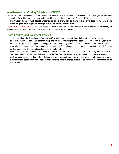# Weather-related Closing Criteria at NONNA'S

Our current weather-related policies reflect the independent transportation practices and challenges of our own community. We will be looking at information provided by the National Weather Service (NWS).

The Center Director will decide whether to call a snow day or more commonly a late start/early close **based on predicted frigid cold temperatures or snow accumulation.**

Closings Communication:If Nonna's closes or issues a late start, the information is communicated via **HiMama**, an all-program email blast. We follow the Wayzata Public School district closures.

# Staff, Faculty, and Volunteer Policies

Upon being hired, the Teaching and Support Staff members are given details of their staff responsibilities, an extensive orientation, personnel policy training, and on-the-job training for their position. Through-out the year, staff members are given continuing education opportunities, community resources, and staff development funds to foster growth both personally and professionally as incentives. Staff members are encouraged to work on teams – defined by our four age levels: Infant; Toddler; Preschool & Kindergarten.

All staff members and volunteers who work directly with children must pass a criminal-record, background clearance check before being left alone with children; must be free from any history of substantiated child abuse or neglect; must have completed their high school diploma and be 18 years of age; have provided personal references; and have a current health assessment that attests to their ability to perform the tasks required to carry out the responsibilities of the position.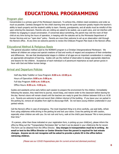# **EDUCATIONAL PROGRAMMING**

#### Program plan

Concentration is a primary goal of the Montessori classroom. To achieve this, children need consistency and order as much as possible. Careless disregard for the child's learning time and the quiet classroom greatly impairs the teacher's ability to teach properly and the student's ability to learn. Parents, grandparents, and all adults must be mindful of this upon entering the classroom. Parents who are visiting are asked to be seated, use a quiet voice, and not interfere with children by engaging in casual conversation. If concerned about something, the parent may visit the room of their child at any time during the hours of operation, in keeping with the statutes set by the Minnesota Department of Human Services and our "open door" policy. Parents are more than welcome to set up an observation visit through the Nonna's office. At any time we welcome parents to review the Childcare Program Plan book in the Nonna's office.

# Educational Method & Religious Basis

The general education method used by the NONNA'S program is a Christian Intergenerational Montessori. We believe all children are unique and special creations of God and worthy of respect and acceptance of their similarities and differences. We see that developmental stages in children of all ages are an important consideration in creating an appropriate atmosphere of learning. Guides will use the method of observation to design appropriate objectives and lessons for the children. Acceptance of each individual is of paramount importance as each person grows in favor with God and fellow human beings.

# Arrival and Departure Policies

Half-day Nido Toddler or Casa Program: **8:00 a.m.-12:00 p.m**. Hours of Operation: **8:00 a.m.-5:00 p.m.** Full-day Program: **8:00 a.m.-5:00 p.m.** Office Hours: **8:30 a.m.- 4:30 p.m.**

Guides and assistants arrive early before each session to prepare the environment for the children. Immediately following the session, they need time to journal, record keep, and restore order to the classroom before leaving for the day. Nonna's doors will remain closed until the teachers are ready to greet the children between 8:00 a.m.-8:30 a.m. Parents are welcome to park and escort their children into/out of the building. If you leave your car parked in the parking lot, remove all valuables from sight to discourage theft. Do not leave young children unattended in your parked vehicle.

Call the Nonna's office in case of emergency. The most important thing is to drive carefully, use seat belts, refrain from using cellphones while driving in the parking lot and lock your doors. Cross the parking lot with caution, especially when children are with you. Do not rush and hurry, walk at the child's pace because "life is more precious than time."

If a person, other than those indicated on your registration form, is picking up your child(ren), please inform the office by filling out the "Transportation Permission Slip" so that it can be placed in your child(ren)s file for record. This form can be obtained from the Office Director. **Any changes in transportation must be in writing. An** email or text to the Office Director or Center Director from the parent is required for last minute **changes. Anyone we do not recognize will be asked to provide a photo ID in the office before retrieving children.**

(Please see our COVID Preparedness plan for current arrival and dismissal practices)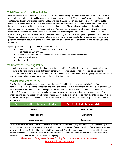# Child/Teacher Connection Policies

Meaningful educational connections are built on trust and understanding. Nonna's makes every effort, from the initial registration to graduation, to build connections between home and school. Teaching staff provides ongoing personal contact with children and families, meaningful learning activities, supervision, and over-all protection of the child's well-being. Nonna's has a 3:1 teacher/child ratio in our Nido Infant Program; a 7:1 child/teacher ratio in our Toddler Program; and a 10:1 child/teacher ratio in our Preschool programs. These ratios are maintained throughout the classrooms and also with specialists, recess, and lunch. We organize the days and work cycles so that the minimal transitions are experienced. Each child will be observed and weekly logs of growth and development will be noted. Evaluations of growth will be developed and evaluated, in writing annually by a staff person qualified as a Montessori Guide. These observations will be communicated to parents in writing and verbally during conferences. A daily log of pertinent information about the child's care will be communicated to the caregivers of infants and toddlers using the Himama app.

Specific procedures to help children with connection are:

- Parent-Teacher Initial Conferences, Phase-In experiences
- Small Ratios for Environments
- Memory books based on development, to establish home and Nonna's connection
- Three-year cycle in Casa
- Honoring Life

# Maltreatment Reporting Policy

If you know or suspect that a child is in immediate danger, call 911. The MN Department of Human Services also requests us to make known to parents that any concern of suspected abuse or neglect should be reported to the Licensing Division's Maltreatment Intake line at (651)431-6600. The county social services agency can be contacted at 651-266-4444. All families are given a copy of this policy during intake.

# Behavior Redirection Policy

Our Christian Montessori philosophy emphasizes the need for children to have "inner discipline" and "normalized behavior." We believe discipline comes from the root word "disciple," which means "one who follows out of love." Our basic behavior expectations consist of a simple "listen and obey." Children are meant "to be seen and heard and believed". They are encouraged to talk and move, and they can express their feelings and be understood. Grace, understanding, and restoration are of utmost importance. We believe the child will do what the child can do. It is our purpose to encourage each child in the unique way God has created him/her and seek to help a child to do what is appropriate.

| We encourage and teach the following attitudes | We will not tolerate the following behaviors |
|------------------------------------------------|----------------------------------------------|
| <b>Respect</b>                                 | <b>Destructive</b>                           |
| <b>Responsibility</b>                          | <b>Disruptive</b>                            |
| <b>Resourcefulness</b>                         | <b>Dangerous</b>                             |

On a first offense, we will redirect negative behavior and talk to the child gently and positively. We teach by "guiding" not correcting. Physical discipline is NEVER used. On a second repeated offense, we will notify the parent in writing at the end of the day. On the third repeated offense, a parent-Guide-Director conference will be called to discuss positive remedies. If the pattern continues, mutual consent will determine Nonna's is not the best fit for the child. If dismissal occurs, fees will be prorated. (See biting policy).

> Please see our "Aggressive Behavior" policy for more information on our website. Forms & Policies | [Nonnas](https://drive.google.com/file/d/1mwmHtQx703tnxAos7GaJAFNBZp8rX1oG/view?usp=sharing) ICM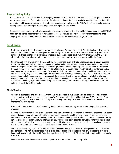# Peacemaking Policy

Beyond our redirection policies, we are developing procedures to help children become peacemakers, practice peace and become more peaceful even in the midst of trials and hardships. Dr. Montessori discussed this issue in light of her generation and troubles in the world. She offers some unique principles, and the NONNA'S staff continually seeks to develop school-wide strategies to encourage peacemaking in our community.

Because it is our intention to cultivate a peaceful and secure environment for the children in our community, NONNA'S has a zero tolerance policy for any toys resembling weapons, such as air soft guns. Any items that fall into that category will be confiscated, and the student will be suspended for a determined length of time.

# Food Policy

Nurturing the growth and development of our children is what Nonna's is all about. Our food policy is designed to nourish our students in the best way possible. Our eating habits are formed at an early age and carry with us into adulthood. These habits have a significant impact on our health. Research shows 70% of disease in the U.S. is diet-related. What we choose to feed our children today is important to their health now and in the future.

Currently, only 1% of children in the U.S. eat the recommended levels of fruits, vegetables, and grains. Processed foods, devoid of nutrients and fiber and loaded with chemicals, have become the norm. Meat and dairy products, which are high in saturated fat, have pushed health-promoting, disease-fighting, plant-based foods off our plates. Nonna's strives to inspire our children to develop a taste for truly healthy food—food that is healthy for our bodies and clears our minds for optimal learning. We select whole foods that are organic when possible (we emphasize the use of "Clean 15/Dirty Dozen" according to the Environmental Working Group ewg.org). Foods that are avoided or modified during both snack and lunch, because of the imposed threat to younger children include the following: whole hot dogs, whole grapes, whole nuts, peanut butter, raw peas and carrots that are not cut into sticks. We strictly avoid peanuts, high fructose corn syrup and food coloring, and are able to offer gluten free and dairy free options on most days of the week.

#### **Meals/Snacks**

Children in the toddler and preschool environments will also receive two healthy snacks each day. The provided snack is part of the learning experience at Nonna's. Snacks are offered to children between 9:00 a.m. and 12:00 p.m. during the children's three-hour work cycle and 1:00 p.m.-3:00 p.m. These snacks will follow the above mentioned food guidelines.

Parents of infants are responsible for sending food with their child each day once the infant begins the process of weaning.

Nonna's will make lunch available for all students and staff -including older infants, toddlers and preschool. Students may participate in our "all- natural" hot lunch program or choose to send their own lunch. Please consider the nutritional value of what you are sending, should you choose to send your child's lunch, consider homemade healthy options or packaged organic/natural alternatives. 1% Milk and non-dairy oat milk, as well as water will be provided at lunchtime for all students. Lunch is served between 11:30 a.m. and 12:00 p.m. (Snacks and meals are spaced so that they are at least two hours apart but not more than three hours apart.)

Our prep kitchen is regulated by the Minnesota Health Department and our caterer/food specialist is licensed and certified. The staff discards foods with expired dates, documents compliance with any corrections that have been made according to the Health Department, School Health Consultant, Director and other applicable food safety standards.

Menus are able to be viewed on the HiMama platform and are cycled on a monthly basis.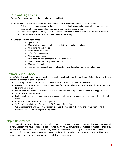# Hand Washing Policies

Every effort is made to reduce the spread of germs and bacteria.

- ❖ To promote such efforts, the staff, children and families will incorporate the following practices:
	- $\geq$  Children learn proper hygiene methods and hand-washing lessons. (Vigorously rubbing hands for 10 seconds with liquid soap and running water. Drying with a paper towel.)
	- $\triangleright$  Hand washing is required by all staff, volunteers and children when it can reduce the risk of infection.
	- $\geq$  Staff will assist children with hand washing when necessary.
- ❖ Children and staff wash hands:
	- Upon arrival.
	- After toilet use, assisting others in the bathroom, and diaper changes.
	- After handling body fluids.
	- Before meals or snacks.
	- Before food preparation.
	- After playing in water.
	- After handling pets or other animal contamination.
	- When moving from one group to another.
	- After handling garbage.
	- Food Service personnel wash hands continuously throughout food prep and delivery.

# Restrooms at NONNA'S

Nonna's has designated bathrooms for each age group to comply with licensing policies and follows these practices to minimize the vulnerability of our children:

- The multiple-use restrooms in the classrooms at NONNA'S are designated for the children.
- No person shall enter a restroom that is designated for one sex unless they are a member of that sex with the following exceptions--
- For custodial and maintenance purposes when the facility is not occupied by a member of the opposite sex.
- To render medical assistance
- During a natural disaster, emergency or when necessary to prevent a serious threat to good order or student safety.
- A Guide/Assistant to assist a toddler or preschool child.
- Staff has its own bathroom for use in the Staff lounge of the office.
- We ask that other NONNA'S family members also use the facilities in the foyer and refrain from using the bathrooms designated for regular use by children.

# Nap & Rest Policies

Children enrolled in the full-day program are offered nap and rest time daily on a cot in space designated for a period of rest. Children who have completed a nap or rested quietly for 30 minutes are not required to remain on their cots. Each child is provided with a napping cot which, embracing Montessori philosophy, the child can independently manipulate for the nap. Cots are sanitized regularly by the staff. Each child provides his or her own bedding, which is returned home every week for washing, or as needed when soiled or wet.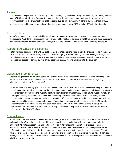#### Recess

Children should be prepared with necessary outdoor clothing to go outside for daily recess—snow, cold, wind, rain and sun. NONNA'S staff refer to a National Recess Guide that utilizes the temperature and windshield to make a recommendation for the amount of time children spend outside on a given day. A general guideline that NONNA'S practices is that children do not go outside when the temperature is below  $10^{\circ}$ F or below  $0^{\circ}$ F with the windchill.

#### Field Trip Policy

Nonna's occasionally takes walking field trips off premise to nearby playgrounds or walks to the downtown area and the adjoining Presbyterian Homes community. Parents will be notified in advance of field trips beyond these excursions and permission forms will need to be signed for your child to participate. See Walking Field Trip Policy addendum.

# Reporting Absences and Tardiness

Staff will keep attendance of NONNA'S children. As a courtesy, parents need to call the office or send a message via HiMama to report an absence and/or illness. We encourage grace-filled mornings without rushing children, while simultaneously discouraging patterns of lateness where classroom experiences may get missed. Refer to individual classroom practices as defined by your child's classroom teacher for late entrance into the classroom.

# Observations/Conferences

Observation guidelines will be given at the time of your arrival to help focus your observation. After observing, if you wish for a further discussion you can contact the Guide or Director. Conferences are offered at the beginning, mid-year and end of year (upon request).

Concentration is a primary goal of the Montessori classroom. To achieve this, children need consistency and order as much as possible. Careless disregard for the child's learning time and the quiet classroom greatly impairs the Guide's ability to teach properly and the student's ability to learn. Parents, grandparents, and all adults must be mindful of this upon entering the classroom. Parents who are visiting are asked to be seated, use a quiet voice, and not interfere with children by engaging in casual conversation. If concerned about something, the parent may visit the room of their child at any time during the hours of operation, in keeping with the statutes set by the Minnesota Department of Human Services and our "open door" policy. Parents are more than welcome to set up an observation visit through the NONNA'S office. At any time we welcome parents to review the Childcare Program Plan book in the NONNA'S office.

# Special Needs

Nonna's welcomes and will admit a child with exceptions (either special needs and/or who is gifted & talented) on an individual basis. We require consultation with the director, teachers, and other pertinent professionals prior to enrollment. All written assessments and pertinent medical history including prescriptions are required prior to admission. Any child with a medical condition, or diagnosis is required to reveal such information upon admission. Unfortunately, not all children thrive in the Montessori environment when other needs are more pressing. Therefore, when we are unable to meet a child's needs, the Director, and a parent-teacher conference will be held. If dismissal occurs, fees will be prorated. Please refer to the Behavior Policies. The building is handicap accessible and is open for all children of various needs.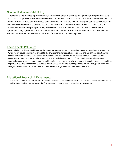#### Nonna's Preliminary Visit Policy

At Nonna's, we practice a preliminary visit for families that are trying to navigate what program best suits their child. This process would be scheduled with the administrator once a conversation has been held with our Center Director. Application is required prior to scheduling. The preliminary visit gives our center Director and lead Montessori guide the chance to observe the child within the environment. At Nonna's, our goal is to provide every child an equal opportunity to succeed, therefore, why we offer this prior to a contract and agreement being signed. After the preliminary visit, our Center Director and Lead Montessori Guide will meet and discuss observations and communicate to families what the next steps are.

# Environments Pet Policy

Pets and plants will be a weekly part of the Nonna's experience creating home-like connections and empathy practice. When we introduce a new pet or animal to the environments for educational purposes and enrichment activities, this should be cleared with the Guide of the environments first and families will be notified. Decisions are made on a case-by-case basis. It is expected that visiting animals will show written proof that they have had all necessary vaccinations and wear necessary tags. In addition, visiting pets would be allowed only in designated areas and would be expected to be properly leashed, supervised and/or caged. In the pre-planning process for pet visits, participants with allergies to animals would be informed and alternative arrangements for them would be made.

#### Educational Research & Experiments

These will not occur without the express written consent of the Parents or Guardian. It is possible that Nonna's will be highly visited and studied as one of the first Montessori Intergenerational models in the country.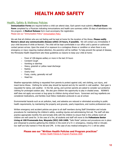# **HEALTH AND SAFETY**

# Health, Safety & Wellness Policies

**Immunization Forms** are required before a child can attend class. Each parent must submit a **Medical Exam Form** completed by a Physician indicating immunizations and health care summary within 30 days of admittance into the program. A **Medical Release** form must accompany the registration. Please see our "Immunization Policy" [Immunization](https://docs.google.com/document/d/14CFg8UzeYFA-QUSlqA45ewNw7anaCAUei_fAFp2L828/edit?usp=sharing) Polic[y](https://docs.google.com/document/d/14CFg8UzeYFA-QUSlqA45ewNw7anaCAUei_fAFp2L828/edit?usp=sharing)

We ask that all children who are not feeling well be kept at home for the duration of the illness. **Please notify Nonna's about any communicable disease within 24 hours, if possible.** We will contact you immediately if your child becomes ill while at Nonna's. The child will be kept comfortable in our office until a parent or authorized contact person arrives. Upon the onset of or exposure to a contagious illness or condition or when there is any emergency or injury requiring medical attention, the parent(s) will be notified. To help prevent the spread of disease, the Minnesota Health Department sets these guidelines as reasons to keep your child at home:

- Fever of 100-degree axillary or more in the last 24 hours
- Constant Cough
- Vomiting or diarrhea
- Heavy, greenish or yellow nasal discharge
- Rashes
- Overly tired
- Fussy, cranky, generally not self
- Head lice

Weather-appropriate clothing is requested from parents to protect against cold, wet clothing, sun injury, and insect-borne illness. Clothing for winter play should be layered and dry for warmth in cold weather. Rain gear is requested for damp, wet weather. In the fall, spring, and summer parents are asked to consider sun-protective clothing for prolonged outdoor play. We also give children the opportunity to play in shaded areas. NONNA'S staff does not apply sun-screen or bug spray to children during school hours. Sunscreen and bug repellents are considered medications, and families must follow medication protocols to use at school.

Environmental hazards such as air pollution, lead, and asbestos are reduced or eliminated according to public health requirements, by maintaining the property and grounds, yearly inspections, and routine professional care.

Written emergency and accident policies are given to all staff members during Staff Orientation and include procedures for maintaining the children's safety, avoiding injuries and administering first aid. The staff will also practice appropriate monthly fire and tornado drills with the children to ensure that in this unlikely event all children are well cared for. In the case of a fire, all students and staff will move to the **Folkestone Senior Living at 100 Promenade Ave, Wayzata (952) 249-2400.** "Safe Mode" policies and procedures are in place and rehearsed to practice gathering the children in the event of a 9-1-1 emergency, missing child or intruder. Our staff are fully trained in First Aid and CPR. In the case of any medical emergency 9-1-1 will be called.

#### **Please see our "Written Health Policies and Program practices"**

Written Health Policies & Program [Practices](https://docs.google.com/document/d/1h2iF_T7C0w6OBvERUKJ7as32Fvqy1vgG9u0mCv4lD3s/edit?usp=sharing) 2020